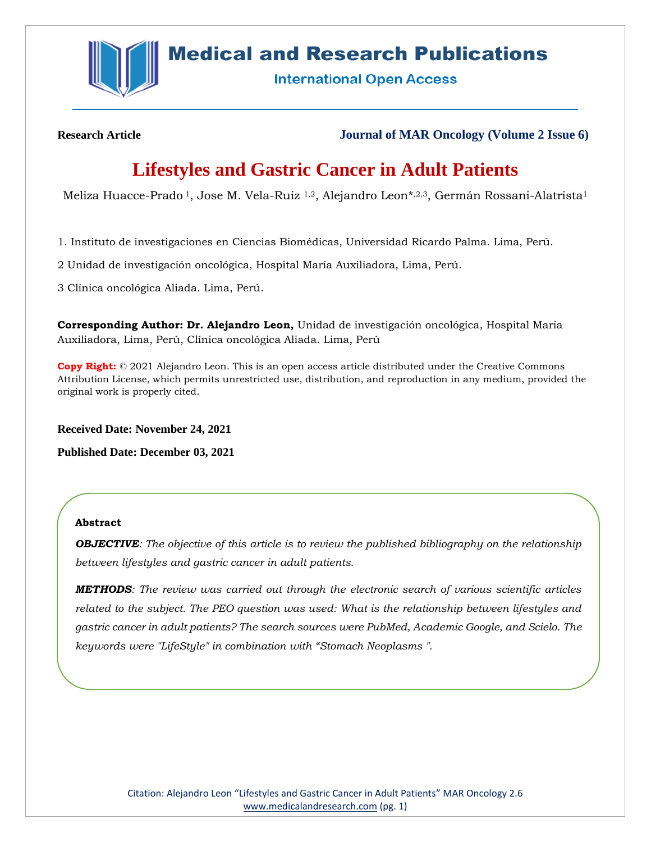

# **Medical and Research Publications**

**International Open Access** 

**Research Article Journal of MAR Oncology (Volume 2 Issue 6)**

# **Lifestyles and Gastric Cancer in Adult Patients**

Meliza Huacce-Prado<sup>1</sup>, Jose M. Vela-Ruiz <sup>1,2</sup>, Alejandro Leon<sup>\*,2,3</sup>, Germán Rossani-Alatrista<sup>1</sup>

1. Instituto de investigaciones en Ciencias Biomédicas, Universidad Ricardo Palma. Lima, Perú.

2 Unidad de investigación oncológica, Hospital María Auxiliadora, Lima, Perú.

3 Clínica oncológica Aliada. Lima, Perú.

**Corresponding Author: Dr. Alejandro Leon,** Unidad de investigación oncológica, Hospital María Auxiliadora, Lima, Perú, Clínica oncológica Aliada. Lima, Perú

**Copy Right:** © 2021 Alejandro Leon. This is an open access article distributed under the Creative Commons Attribution License, which permits unrestricted use, distribution, and reproduction in any medium, provided the original work is properly cited.

**Received Date: November 24, 2021**

**Published Date: December 03, 2021**

### **Abstract**

*OBJECTIVE: The objective of this article is to review the published bibliography on the relationship between lifestyles and gastric cancer in adult patients.* 

*METHODS: The review was carried out through the electronic search of various scientific articles related to the subject. The PEO question was used: What is the relationship between lifestyles and gastric cancer in adult patients? The search sources were PubMed, Academic Google, and Scielo. The keywords were "LifeStyle" in combination with "Stomach Neoplasms ".*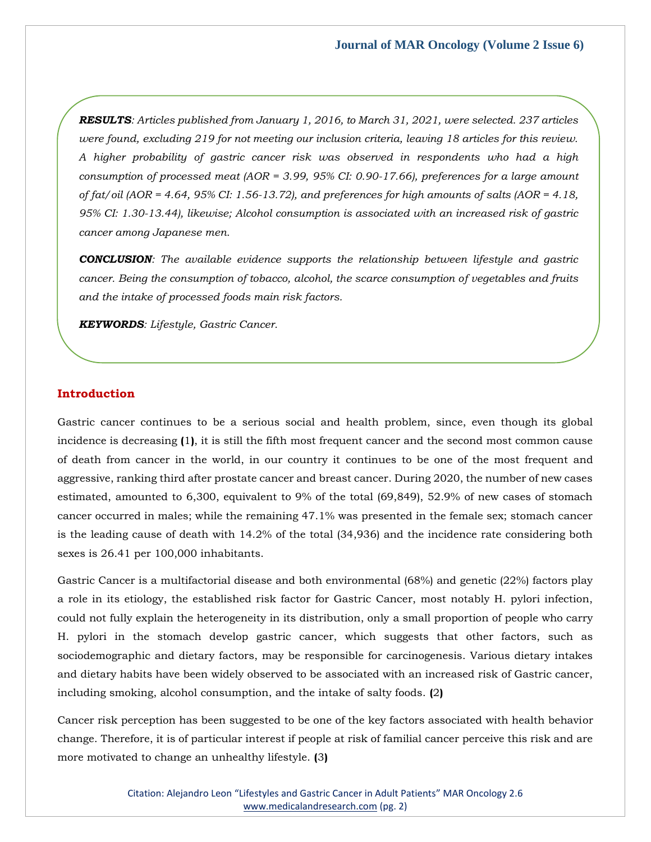*RESULTS: Articles published from January 1, 2016, to March 31, 2021, were selected. 237 articles were found, excluding 219 for not meeting our inclusion criteria, leaving 18 articles for this review. A higher probability of gastric cancer risk was observed in respondents who had a high consumption of processed meat (AOR = 3.99, 95% CI: 0.90-17.66), preferences for a large amount of fat/oil (AOR = 4.64, 95% CI: 1.56-13.72), and preferences for high amounts of salts (AOR = 4.18, 95% CI: 1.30-13.44), likewise; Alcohol consumption is associated with an increased risk of gastric cancer among Japanese men.* 

*CONCLUSION: The available evidence supports the relationship between lifestyle and gastric cancer. Being the consumption of tobacco, alcohol, the scarce consumption of vegetables and fruits and the intake of processed foods main risk factors.*

*KEYWORDS: Lifestyle, Gastric Cancer.*

### **Introduction**

Gastric cancer continues to be a serious social and health problem, since, even though its global incidence is decreasing **(**1**)**, it is still the fifth most frequent cancer and the second most common cause of death from cancer in the world, in our country it continues to be one of the most frequent and aggressive, ranking third after prostate cancer and breast cancer. During 2020, the number of new cases estimated, amounted to 6,300, equivalent to 9% of the total (69,849), 52.9% of new cases of stomach cancer occurred in males; while the remaining 47.1% was presented in the female sex; stomach cancer is the leading cause of death with 14.2% of the total (34,936) and the incidence rate considering both sexes is 26.41 per 100,000 inhabitants.

Gastric Cancer is a multifactorial disease and both environmental (68%) and genetic (22%) factors play a role in its etiology, the established risk factor for Gastric Cancer, most notably H. pylori infection, could not fully explain the heterogeneity in its distribution, only a small proportion of people who carry H. pylori in the stomach develop gastric cancer, which suggests that other factors, such as sociodemographic and dietary factors, may be responsible for carcinogenesis. Various dietary intakes and dietary habits have been widely observed to be associated with an increased risk of Gastric cancer, including smoking, alcohol consumption, and the intake of salty foods. **(**2**)**

Cancer risk perception has been suggested to be one of the key factors associated with health behavior change. Therefore, it is of particular interest if people at risk of familial cancer perceive this risk and are more motivated to change an unhealthy lifestyle. **(**3**)**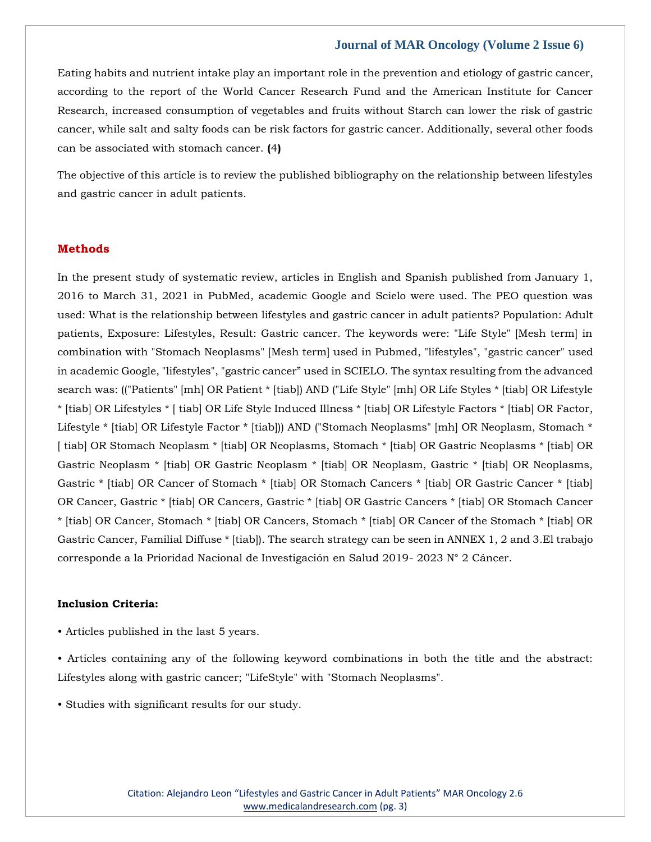Eating habits and nutrient intake play an important role in the prevention and etiology of gastric cancer, according to the report of the World Cancer Research Fund and the American Institute for Cancer Research, increased consumption of vegetables and fruits without Starch can lower the risk of gastric cancer, while salt and salty foods can be risk factors for gastric cancer. Additionally, several other foods can be associated with stomach cancer. **(**4**)**

The objective of this article is to review the published bibliography on the relationship between lifestyles and gastric cancer in adult patients.

### **Methods**

In the present study of systematic review, articles in English and Spanish published from January 1, 2016 to March 31, 2021 in PubMed, academic Google and Scielo were used. The PEO question was used: What is the relationship between lifestyles and gastric cancer in adult patients? Population: Adult patients, Exposure: Lifestyles, Result: Gastric cancer. The keywords were: "Life Style" [Mesh term] in combination with "Stomach Neoplasms" [Mesh term] used in Pubmed, "lifestyles", "gastric cancer" used in academic Google, "lifestyles", "gastric cancer" used in SCIELO. The syntax resulting from the advanced search was: (("Patients" [mh] OR Patient \* [tiab]) AND ("Life Style" [mh] OR Life Styles \* [tiab] OR Lifestyle \* [tiab] OR Lifestyles \* [ tiab] OR Life Style Induced Illness \* [tiab] OR Lifestyle Factors \* [tiab] OR Factor, Lifestyle \* [tiab] OR Lifestyle Factor \* [tiab])) AND ("Stomach Neoplasms" [mh] OR Neoplasm, Stomach \* [ tiab] OR Stomach Neoplasm \* [tiab] OR Neoplasms, Stomach \* [tiab] OR Gastric Neoplasms \* [tiab] OR Gastric Neoplasm \* [tiab] OR Gastric Neoplasm \* [tiab] OR Neoplasm, Gastric \* [tiab] OR Neoplasms, Gastric \* [tiab] OR Cancer of Stomach \* [tiab] OR Stomach Cancers \* [tiab] OR Gastric Cancer \* [tiab] OR Cancer, Gastric \* [tiab] OR Cancers, Gastric \* [tiab] OR Gastric Cancers \* [tiab] OR Stomach Cancer \* [tiab] OR Cancer, Stomach \* [tiab] OR Cancers, Stomach \* [tiab] OR Cancer of the Stomach \* [tiab] OR Gastric Cancer, Familial Diffuse \* [tiab]). The search strategy can be seen in ANNEX 1, 2 and 3.El trabajo corresponde a la Prioridad Nacional de Investigación en Salud 2019- 2023 N° 2 Cáncer.

#### **Inclusion Criteria:**

- Articles published in the last 5 years.
- Articles containing any of the following keyword combinations in both the title and the abstract: Lifestyles along with gastric cancer; "LifeStyle" with "Stomach Neoplasms".
- Studies with significant results for our study.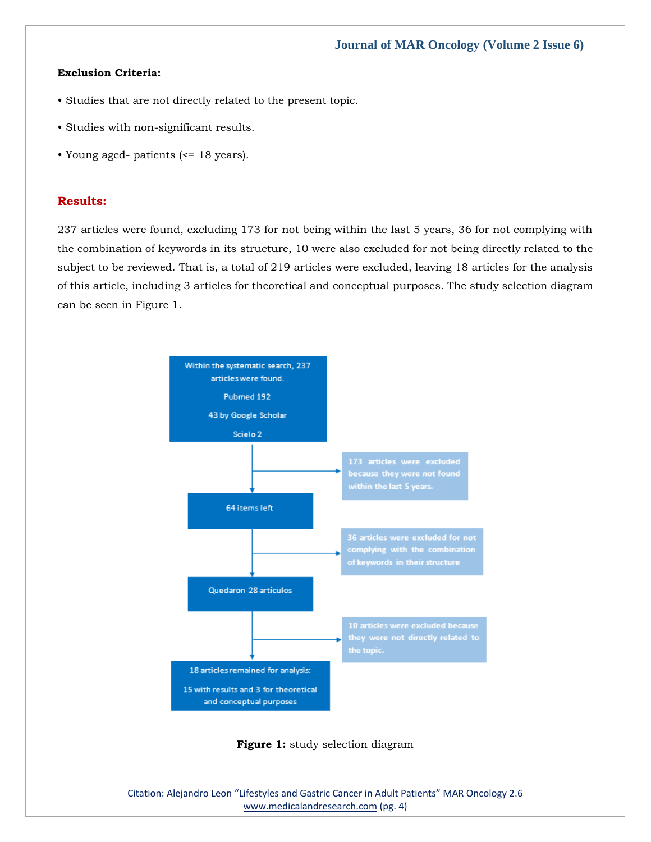### **Exclusion Criteria:**

- Studies that are not directly related to the present topic.
- Studies with non-significant results.
- Young aged- patients (<= 18 years).

### **Results:**

237 articles were found, excluding 173 for not being within the last 5 years, 36 for not complying with the combination of keywords in its structure, 10 were also excluded for not being directly related to the subject to be reviewed. That is, a total of 219 articles were excluded, leaving 18 articles for the analysis of this article, including 3 articles for theoretical and conceptual purposes. The study selection diagram can be seen in Figure 1.



**Figure 1:** study selection diagram

Citation: Alejandro Leon "Lifestyles and Gastric Cancer in Adult Patients" MAR Oncology 2.6 [www.medicalandresearch.com](http://www.medicalandresearch.com/) (pg. 4)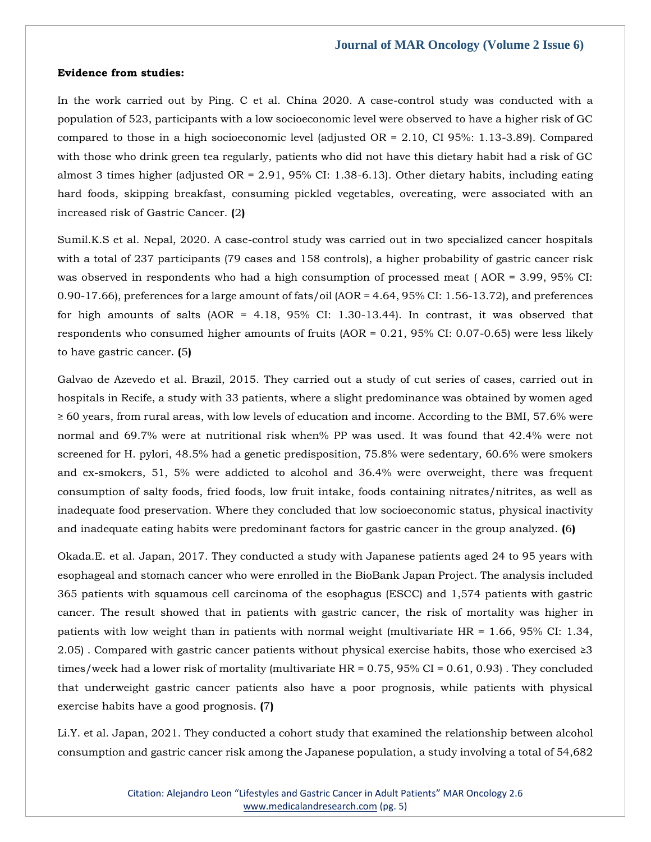#### **Evidence from studies:**

In the work carried out by Ping. C et al. China 2020. A case-control study was conducted with a population of 523, participants with a low socioeconomic level were observed to have a higher risk of GC compared to those in a high socioeconomic level (adjusted OR = 2.10, CI 95%: 1.13-3.89). Compared with those who drink green tea regularly, patients who did not have this dietary habit had a risk of GC almost 3 times higher (adjusted OR = 2.91, 95% CI: 1.38-6.13). Other dietary habits, including eating hard foods, skipping breakfast, consuming pickled vegetables, overeating, were associated with an increased risk of Gastric Cancer. **(**2**)**

Sumil.K.S et al. Nepal, 2020. A case-control study was carried out in two specialized cancer hospitals with a total of 237 participants (79 cases and 158 controls), a higher probability of gastric cancer risk was observed in respondents who had a high consumption of processed meat ( AOR = 3.99, 95% CI: 0.90-17.66), preferences for a large amount of fats/oil (AOR = 4.64, 95% CI: 1.56-13.72), and preferences for high amounts of salts (AOR =  $4.18$ ,  $95\%$  CI: 1.30-13.44). In contrast, it was observed that respondents who consumed higher amounts of fruits (AOR = 0.21, 95% CI: 0.07-0.65) were less likely to have gastric cancer. **(**5**)**

Galvao de Azevedo et al. Brazil, 2015. They carried out a study of cut series of cases, carried out in hospitals in Recife, a study with 33 patients, where a slight predominance was obtained by women aged ≥ 60 years, from rural areas, with low levels of education and income. According to the BMI, 57.6% were normal and 69.7% were at nutritional risk when% PP was used. It was found that 42.4% were not screened for H. pylori, 48.5% had a genetic predisposition, 75.8% were sedentary, 60.6% were smokers and ex-smokers, 51, 5% were addicted to alcohol and 36.4% were overweight, there was frequent consumption of salty foods, fried foods, low fruit intake, foods containing nitrates/nitrites, as well as inadequate food preservation. Where they concluded that low socioeconomic status, physical inactivity and inadequate eating habits were predominant factors for gastric cancer in the group analyzed. **(**6**)**

Okada.E. et al. Japan, 2017. They conducted a study with Japanese patients aged 24 to 95 years with esophageal and stomach cancer who were enrolled in the BioBank Japan Project. The analysis included 365 patients with squamous cell carcinoma of the esophagus (ESCC) and 1,574 patients with gastric cancer. The result showed that in patients with gastric cancer, the risk of mortality was higher in patients with low weight than in patients with normal weight (multivariate HR = 1.66, 95% CI: 1.34, 2.05). Compared with gastric cancer patients without physical exercise habits, those who exercised  $\geq 3$ times/week had a lower risk of mortality (multivariate HR = 0.75, 95% CI = 0.61, 0.93) . They concluded that underweight gastric cancer patients also have a poor prognosis, while patients with physical exercise habits have a good prognosis. **(**7**)**

Li.Y. et al. Japan, 2021. They conducted a cohort study that examined the relationship between alcohol consumption and gastric cancer risk among the Japanese population, a study involving a total of 54,682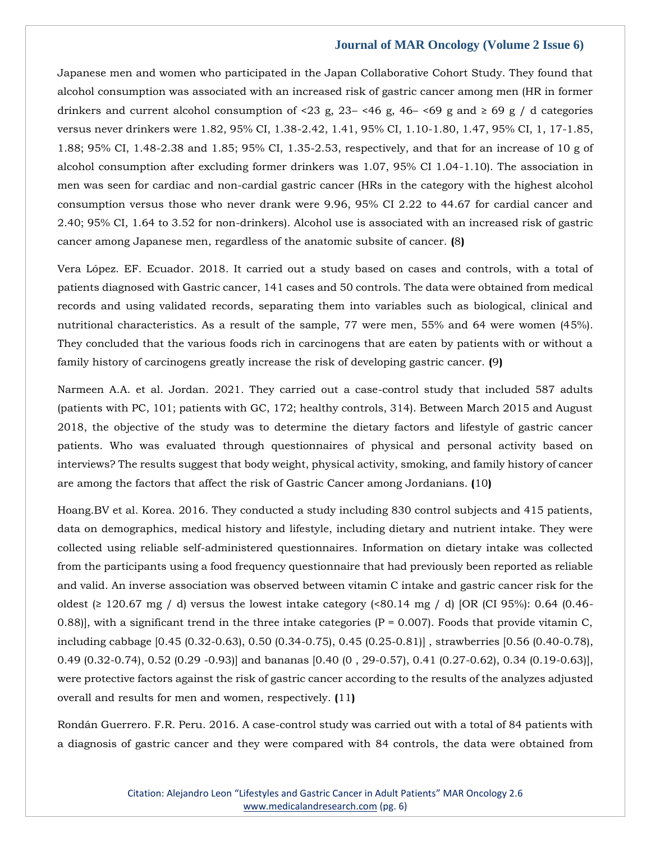Japanese men and women who participated in the Japan Collaborative Cohort Study. They found that alcohol consumption was associated with an increased risk of gastric cancer among men (HR in former drinkers and current alcohol consumption of <23 g,  $23 - 46$  g,  $46 - 69$  g and  $\ge 69$  g / d categories versus never drinkers were 1.82, 95% CI, 1.38-2.42, 1.41, 95% CI, 1.10-1.80, 1.47, 95% CI, 1, 17-1.85, 1.88; 95% CI, 1.48-2.38 and 1.85; 95% CI, 1.35-2.53, respectively, and that for an increase of 10 g of alcohol consumption after excluding former drinkers was 1.07, 95% CI 1.04-1.10). The association in men was seen for cardiac and non-cardial gastric cancer (HRs in the category with the highest alcohol consumption versus those who never drank were 9.96, 95% CI 2.22 to 44.67 for cardial cancer and 2.40; 95% CI, 1.64 to 3.52 for non-drinkers). Alcohol use is associated with an increased risk of gastric cancer among Japanese men, regardless of the anatomic subsite of cancer. **(**8**)**

Vera López. EF. Ecuador. 2018. It carried out a study based on cases and controls, with a total of patients diagnosed with Gastric cancer, 141 cases and 50 controls. The data were obtained from medical records and using validated records, separating them into variables such as biological, clinical and nutritional characteristics. As a result of the sample, 77 were men, 55% and 64 were women (45%). They concluded that the various foods rich in carcinogens that are eaten by patients with or without a family history of carcinogens greatly increase the risk of developing gastric cancer. **(**9**)**

Narmeen A.A. et al. Jordan. 2021. They carried out a case-control study that included 587 adults (patients with PC, 101; patients with GC, 172; healthy controls, 314). Between March 2015 and August 2018, the objective of the study was to determine the dietary factors and lifestyle of gastric cancer patients. Who was evaluated through questionnaires of physical and personal activity based on interviews? The results suggest that body weight, physical activity, smoking, and family history of cancer are among the factors that affect the risk of Gastric Cancer among Jordanians. **(**10**)**

Hoang.BV et al. Korea. 2016. They conducted a study including 830 control subjects and 415 patients, data on demographics, medical history and lifestyle, including dietary and nutrient intake. They were collected using reliable self-administered questionnaires. Information on dietary intake was collected from the participants using a food frequency questionnaire that had previously been reported as reliable and valid. An inverse association was observed between vitamin C intake and gastric cancer risk for the oldest (≥ 120.67 mg / d) versus the lowest intake category (<80.14 mg / d) [OR (CI 95%): 0.64 (0.46-0.88)], with a significant trend in the three intake categories ( $P = 0.007$ ). Foods that provide vitamin C, including cabbage [0.45 (0.32-0.63), 0.50 (0.34-0.75), 0.45 (0.25-0.81)] , strawberries [0.56 (0.40-0.78), 0.49 (0.32-0.74), 0.52 (0.29 -0.93)] and bananas [0.40 (0 , 29-0.57), 0.41 (0.27-0.62), 0.34 (0.19-0.63)], were protective factors against the risk of gastric cancer according to the results of the analyzes adjusted overall and results for men and women, respectively. **(**11**)**

Rondán Guerrero. F.R. Peru. 2016. A case-control study was carried out with a total of 84 patients with a diagnosis of gastric cancer and they were compared with 84 controls, the data were obtained from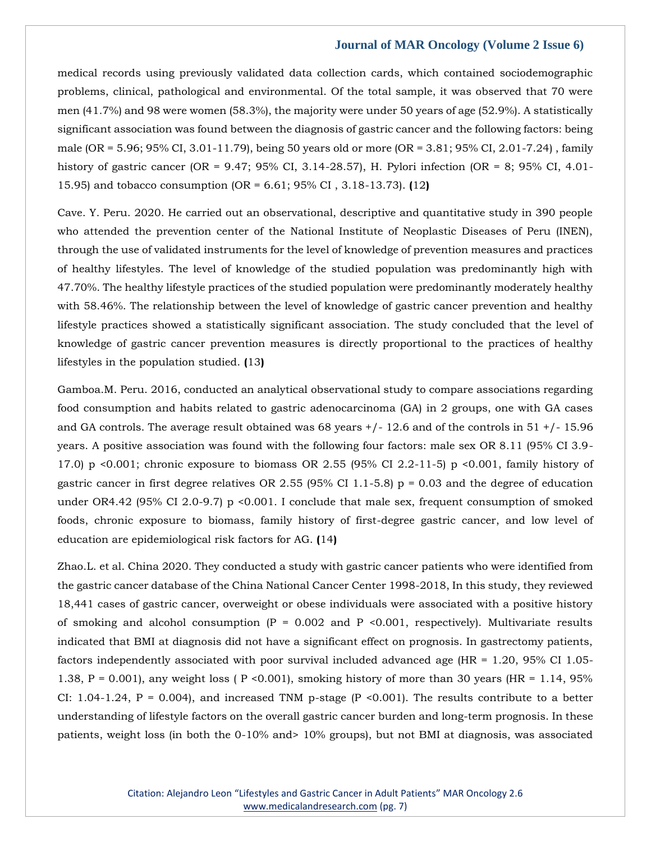medical records using previously validated data collection cards, which contained sociodemographic problems, clinical, pathological and environmental. Of the total sample, it was observed that 70 were men (41.7%) and 98 were women (58.3%), the majority were under 50 years of age (52.9%). A statistically significant association was found between the diagnosis of gastric cancer and the following factors: being male (OR = 5.96; 95% CI, 3.01-11.79), being 50 years old or more (OR = 3.81; 95% CI, 2.01-7.24) , family history of gastric cancer (OR = 9.47; 95% CI, 3.14-28.57), H. Pylori infection (OR = 8; 95% CI, 4.01- 15.95) and tobacco consumption (OR = 6.61; 95% CI , 3.18-13.73). **(**12**)**

Cave. Y. Peru. 2020. He carried out an observational, descriptive and quantitative study in 390 people who attended the prevention center of the National Institute of Neoplastic Diseases of Peru (INEN), through the use of validated instruments for the level of knowledge of prevention measures and practices of healthy lifestyles. The level of knowledge of the studied population was predominantly high with 47.70%. The healthy lifestyle practices of the studied population were predominantly moderately healthy with 58.46%. The relationship between the level of knowledge of gastric cancer prevention and healthy lifestyle practices showed a statistically significant association. The study concluded that the level of knowledge of gastric cancer prevention measures is directly proportional to the practices of healthy lifestyles in the population studied. **(**13**)**

Gamboa.M. Peru. 2016, conducted an analytical observational study to compare associations regarding food consumption and habits related to gastric adenocarcinoma (GA) in 2 groups, one with GA cases and GA controls. The average result obtained was  $68$  years  $+/-12.6$  and of the controls in  $51 +/-15.96$ years. A positive association was found with the following four factors: male sex OR 8.11 (95% CI 3.9- 17.0) p <0.001; chronic exposure to biomass OR 2.55 (95% CI 2.2-11-5) p <0.001, family history of gastric cancer in first degree relatives OR 2.55 (95% CI 1.1-5.8)  $p = 0.03$  and the degree of education under OR4.42 (95% CI 2.0-9.7) p <0.001. I conclude that male sex, frequent consumption of smoked foods, chronic exposure to biomass, family history of first-degree gastric cancer, and low level of education are epidemiological risk factors for AG. **(**14**)**

Zhao.L. et al. China 2020. They conducted a study with gastric cancer patients who were identified from the gastric cancer database of the China National Cancer Center 1998-2018, In this study, they reviewed 18,441 cases of gastric cancer, overweight or obese individuals were associated with a positive history of smoking and alcohol consumption  $(P = 0.002$  and P <0.001, respectively). Multivariate results indicated that BMI at diagnosis did not have a significant effect on prognosis. In gastrectomy patients, factors independently associated with poor survival included advanced age  $(HR = 1.20, 95\% \text{ CI } 1.05$ -1.38,  $P = 0.001$ ), any weight loss ( $P < 0.001$ ), smoking history of more than 30 years (HR = 1.14, 95%) CI: 1.04-1.24,  $P = 0.004$ ), and increased TNM p-stage (P < 0.001). The results contribute to a better understanding of lifestyle factors on the overall gastric cancer burden and long-term prognosis. In these patients, weight loss (in both the 0-10% and> 10% groups), but not BMI at diagnosis, was associated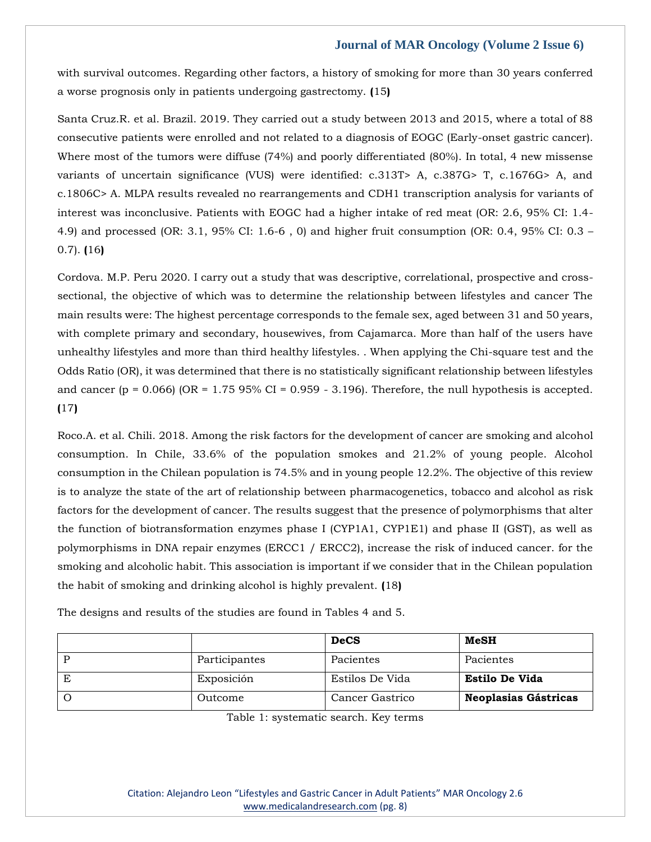with survival outcomes. Regarding other factors, a history of smoking for more than 30 years conferred a worse prognosis only in patients undergoing gastrectomy. **(**15**)**

Santa Cruz.R. et al. Brazil. 2019. They carried out a study between 2013 and 2015, where a total of 88 consecutive patients were enrolled and not related to a diagnosis of EOGC (Early-onset gastric cancer). Where most of the tumors were diffuse (74%) and poorly differentiated (80%). In total, 4 new missense variants of uncertain significance (VUS) were identified: c.313T> A, c.387G> T, c.1676G> A, and c.1806C> A. MLPA results revealed no rearrangements and CDH1 transcription analysis for variants of interest was inconclusive. Patients with EOGC had a higher intake of red meat (OR: 2.6, 95% CI: 1.4- 4.9) and processed (OR: 3.1, 95% CI: 1.6-6 , 0) and higher fruit consumption (OR: 0.4, 95% CI: 0.3 – 0.7). **(**16**)**

Cordova. M.P. Peru 2020. I carry out a study that was descriptive, correlational, prospective and crosssectional, the objective of which was to determine the relationship between lifestyles and cancer The main results were: The highest percentage corresponds to the female sex, aged between 31 and 50 years, with complete primary and secondary, housewives, from Cajamarca. More than half of the users have unhealthy lifestyles and more than third healthy lifestyles. . When applying the Chi-square test and the Odds Ratio (OR), it was determined that there is no statistically significant relationship between lifestyles and cancer (p = 0.066) (OR =  $1.7595\%$  CI = 0.959 - 3.196). Therefore, the null hypothesis is accepted. **(**17**)**

Roco.A. et al. Chili. 2018. Among the risk factors for the development of cancer are smoking and alcohol consumption. In Chile, 33.6% of the population smokes and 21.2% of young people. Alcohol consumption in the Chilean population is 74.5% and in young people 12.2%. The objective of this review is to analyze the state of the art of relationship between pharmacogenetics, tobacco and alcohol as risk factors for the development of cancer. The results suggest that the presence of polymorphisms that alter the function of biotransformation enzymes phase I (CYP1A1, CYP1E1) and phase II (GST), as well as polymorphisms in DNA repair enzymes (ERCC1 / ERCC2), increase the risk of induced cancer. for the smoking and alcoholic habit. This association is important if we consider that in the Chilean population the habit of smoking and drinking alcohol is highly prevalent. **(**18**)**

|               | <b>DeCS</b>     | MeSH                  |
|---------------|-----------------|-----------------------|
| Participantes | Pacientes       | Pacientes             |
| Exposición    | Estilos De Vida | <b>Estilo De Vida</b> |
| Outcome       | Cancer Gastrico | Neoplasias Gástricas  |

The designs and results of the studies are found in Tables 4 and 5.

Table 1: systematic search. Key terms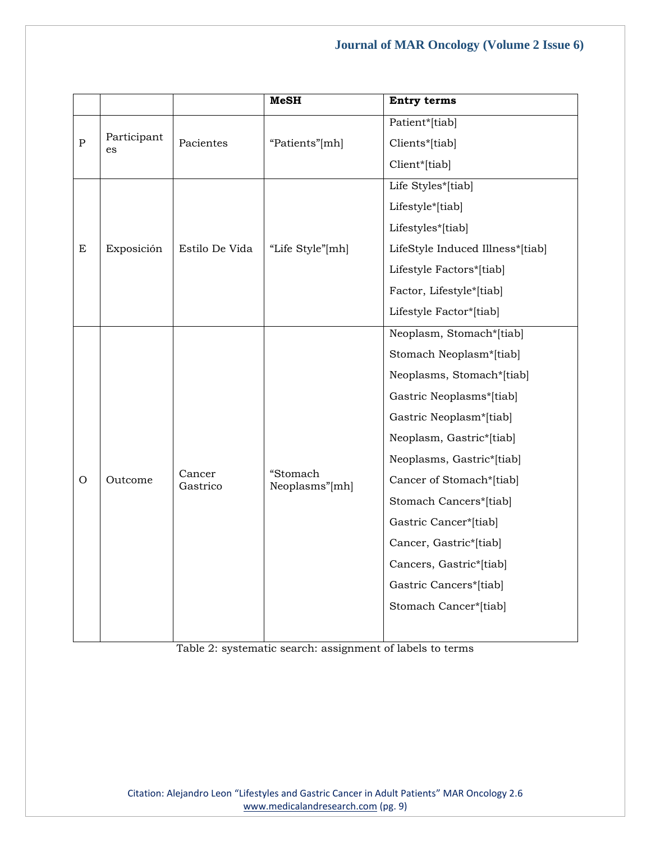|               |                   |                    | <b>MeSH</b>                | <b>Entry terms</b>               |
|---------------|-------------------|--------------------|----------------------------|----------------------------------|
|               |                   |                    |                            | Patient*[tiab]                   |
| $\mathbf{P}$  | Participant<br>es | Pacientes          | "Patients"[mh]             | Clients*[tiab]                   |
|               |                   |                    |                            | Client*[tiab]                    |
|               |                   |                    |                            | Life Styles*[tiab]               |
|               |                   |                    |                            | Lifestyle*[tiab]                 |
|               |                   |                    |                            | Lifestyles*[tiab]                |
| $\mathbf E$   | Exposición        | Estilo De Vida     | "Life Style"[mh]           | LifeStyle Induced Illness*[tiab] |
|               |                   |                    |                            | Lifestyle Factors*[tiab]         |
|               |                   |                    |                            | Factor, Lifestyle*[tiab]         |
|               |                   |                    |                            | Lifestyle Factor*[tiab]          |
|               |                   |                    |                            | Neoplasm, Stomach*[tiab]         |
|               |                   |                    | "Stomach<br>Neoplasms"[mh] | Stomach Neoplasm*[tiab]          |
|               |                   |                    |                            | Neoplasms, Stomach*[tiab]        |
|               |                   |                    |                            | Gastric Neoplasms*[tiab]         |
|               |                   | Cancer<br>Gastrico |                            | Gastric Neoplasm*[tiab]          |
|               |                   |                    |                            | Neoplasm, Gastric*[tiab]         |
|               |                   |                    |                            | Neoplasms, Gastric*[tiab]        |
| $\mathcal{O}$ | Outcome           |                    |                            | Cancer of Stomach*[tiab]         |
|               |                   |                    |                            | Stomach Cancers*[tiab]           |
|               |                   |                    |                            | Gastric Cancer*[tiab]            |
|               |                   |                    |                            | Cancer, Gastric*[tiab]           |
|               |                   |                    |                            | Cancers, Gastric*[tiab]          |
|               |                   |                    |                            | Gastric Cancers*[tiab]           |
|               |                   |                    |                            | Stomach Cancer*[tiab]            |
|               |                   |                    |                            |                                  |

Table 2: systematic search: assignment of labels to terms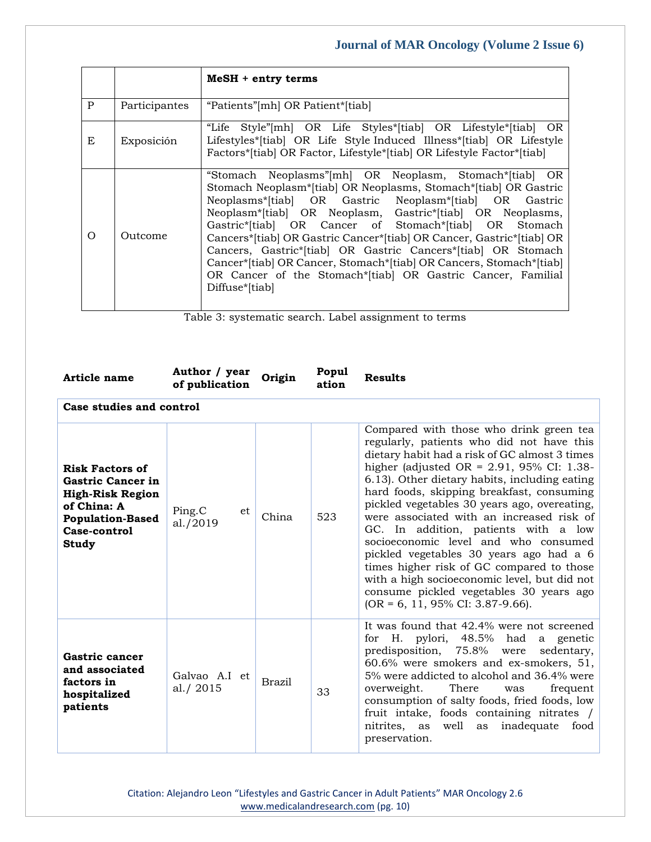|              |               | MeSH + entry terms                                                                                                                                                                                                                                                                                                                                                                                                                                                                                                                                                                                         |
|--------------|---------------|------------------------------------------------------------------------------------------------------------------------------------------------------------------------------------------------------------------------------------------------------------------------------------------------------------------------------------------------------------------------------------------------------------------------------------------------------------------------------------------------------------------------------------------------------------------------------------------------------------|
| $\mathbf{P}$ | Participantes | "Patients" [mh] OR Patient* [tiab]                                                                                                                                                                                                                                                                                                                                                                                                                                                                                                                                                                         |
| E            | Exposición    | "Life Style"[mh] OR Life Styles*[tiab] OR Lifestyle*[tiab] OR<br>Lifestyles*[tiab] OR Life Style Induced Illness*[tiab] OR Lifestyle<br>Factors*[tiab] OR Factor, Lifestyle*[tiab] OR Lifestyle Factor*[tiab]                                                                                                                                                                                                                                                                                                                                                                                              |
| $\Omega$     | Outcome       | "Stomach Neoplasms" [mh] OR Neoplasm, Stomach* [tiab] OR<br>Stomach Neoplasm*[tiab] OR Neoplasms, Stomach*[tiab] OR Gastric<br>Neoplasms*[tiab] OR Gastric Neoplasm*[tiab] OR Gastric<br>Neoplasm*[tiab] OR Neoplasm, Gastric*[tiab] OR Neoplasms,<br>Gastric*[tiab] OR Cancer of Stomach*[tiab] OR Stomach<br>Cancers*[tiab] OR Gastric Cancer*[tiab] OR Cancer, Gastric*[tiab] OR<br>Cancers, Gastric*[tiab] OR Gastric Cancers*[tiab] OR Stomach<br>Cancer*[tiab] OR Cancer, Stomach*[tiab] OR Cancers, Stomach*[tiab]<br>OR Cancer of the Stomach*[tiab] OR Gastric Cancer, Familial<br>Diffuse*[tiab] |

Table 3: systematic search. Label assignment to terms

| Article name                                                                                                                                     | Author / year<br>of publication | Origin        | Popul<br>ation | <b>Results</b>                                                                                                                                                                                                                                                                                                                                                                                                                                                                                                                                                                                                                                                                             |
|--------------------------------------------------------------------------------------------------------------------------------------------------|---------------------------------|---------------|----------------|--------------------------------------------------------------------------------------------------------------------------------------------------------------------------------------------------------------------------------------------------------------------------------------------------------------------------------------------------------------------------------------------------------------------------------------------------------------------------------------------------------------------------------------------------------------------------------------------------------------------------------------------------------------------------------------------|
| Case studies and control                                                                                                                         |                                 |               |                |                                                                                                                                                                                                                                                                                                                                                                                                                                                                                                                                                                                                                                                                                            |
| <b>Risk Factors of</b><br><b>Gastric Cancer in</b><br><b>High-Risk Region</b><br>of China: A<br><b>Population-Based</b><br>Case-control<br>Study | Ping.C<br>et<br>al./2019        | China         | 523            | Compared with those who drink green tea<br>regularly, patients who did not have this<br>dietary habit had a risk of GC almost 3 times<br>higher (adjusted $OR = 2.91$ , 95% CI: 1.38-<br>6.13). Other dietary habits, including eating<br>hard foods, skipping breakfast, consuming<br>pickled vegetables 30 years ago, overeating,<br>were associated with an increased risk of<br>GC. In addition, patients with a low<br>socioeconomic level and who consumed<br>pickled vegetables 30 years ago had a 6<br>times higher risk of GC compared to those<br>with a high socioeconomic level, but did not<br>consume pickled vegetables 30 years ago<br>$(OR = 6, 11, 95\% CI: 3.87-9.66).$ |
| Gastric cancer<br>and associated<br>factors in<br>hospitalized<br>patients                                                                       | Galvao A.I et<br>al./2015       | <b>Brazil</b> | 33             | It was found that 42.4% were not screened<br>for H. pylori, $48.5\%$<br>had<br>a genetic<br>predisposition, 75.8% were<br>sedentary.<br>60.6% were smokers and ex-smokers, 51,<br>5% were addicted to alcohol and 36.4% were<br>overweight.<br>There<br>frequent<br>was<br>consumption of salty foods, fried foods, low<br>fruit intake, foods containing nitrates /<br>nitrites, as<br>well<br>inadequate<br>food<br>as<br>preservation.                                                                                                                                                                                                                                                  |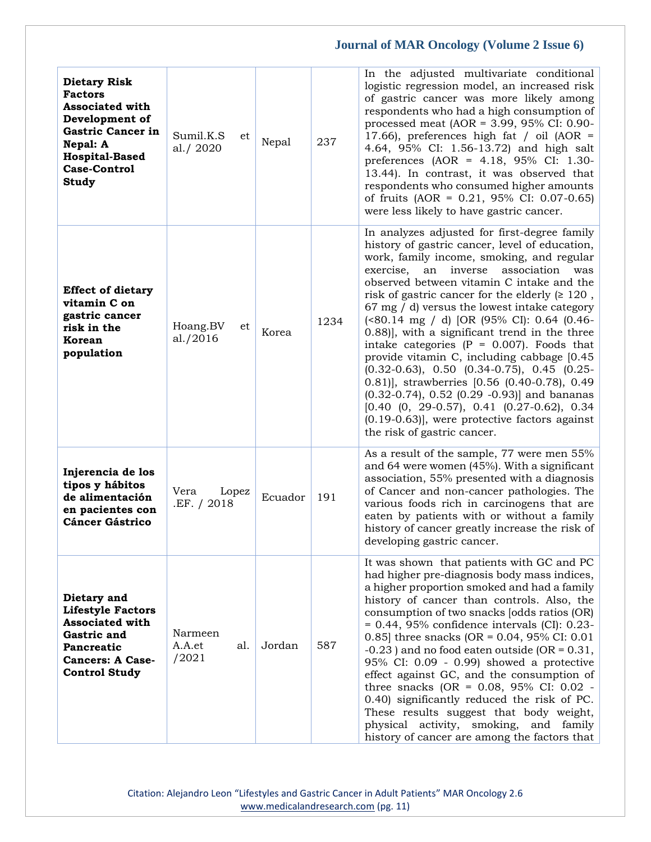| <b>Dietary Risk</b><br><b>Factors</b><br><b>Associated with</b><br>Development of<br><b>Gastric Cancer in</b><br>Nepal: A<br><b>Hospital-Based</b><br><b>Case-Control</b><br><b>Study</b> | Sumil.K.S<br>et<br>al./2020       | Nepal   | 237  | In the adjusted multivariate conditional<br>logistic regression model, an increased risk<br>of gastric cancer was more likely among<br>respondents who had a high consumption of<br>processed meat (AOR = 3.99, 95% CI: 0.90-<br>17.66), preferences high fat / oil (AOR =<br>4.64, 95% CI: 1.56-13.72) and high salt<br>preferences (AOR = $4.18$ , 95% CI: 1.30-<br>13.44). In contrast, it was observed that<br>respondents who consumed higher amounts<br>of fruits (AOR = $0.21$ , 95% CI: 0.07-0.65)<br>were less likely to have gastric cancer.                                                                                                                                                                                                                                                                                                                 |
|-------------------------------------------------------------------------------------------------------------------------------------------------------------------------------------------|-----------------------------------|---------|------|------------------------------------------------------------------------------------------------------------------------------------------------------------------------------------------------------------------------------------------------------------------------------------------------------------------------------------------------------------------------------------------------------------------------------------------------------------------------------------------------------------------------------------------------------------------------------------------------------------------------------------------------------------------------------------------------------------------------------------------------------------------------------------------------------------------------------------------------------------------------|
| <b>Effect of dietary</b><br>vitamin C on<br>gastric cancer<br>risk in the<br>Korean<br>population                                                                                         | Hoang.BV<br>et<br>al. $/2016$     | Korea   | 1234 | In analyzes adjusted for first-degree family<br>history of gastric cancer, level of education,<br>work, family income, smoking, and regular<br>association<br>exercise,<br>an<br>inverse<br>was<br>observed between vitamin C intake and the<br>risk of gastric cancer for the elderly $( \geq 120)$ ,<br>$67 \text{ mg}$ / d) versus the lowest intake category<br>(<80.14 mg / d) [OR (95% CI): 0.64 (0.46-<br>0.88)], with a significant trend in the three<br>intake categories ( $P = 0.007$ ). Foods that<br>provide vitamin C, including cabbage [0.45<br>$(0.32-0.63)$ , 0.50 $(0.34-0.75)$ , 0.45 $(0.25-0.32)$<br>0.81)], strawberries [0.56 (0.40-0.78), 0.49<br>$(0.32-0.74)$ , $0.52$ $(0.29 -0.93)$ ] and bananas<br>$[0.40 \ (0, 29-0.57), 0.41 \ (0.27-0.62), 0.34]$<br>$(0.19-0.63)$ , were protective factors against<br>the risk of gastric cancer. |
| Injerencia de los<br>tipos y hábitos<br>de alimentación<br>en pacientes con<br><b>Cáncer Gástrico</b>                                                                                     | Vera<br>Lopez<br>.EF. / 2018      | Ecuador | 191  | As a result of the sample, 77 were men 55%<br>and 64 were women (45%). With a significant<br>association, 55% presented with a diagnosis<br>of Cancer and non-cancer pathologies. The<br>various foods rich in carcinogens that are<br>eaten by patients with or without a family<br>history of cancer greatly increase the risk of<br>developing gastric cancer.                                                                                                                                                                                                                                                                                                                                                                                                                                                                                                      |
| Dietary and<br><b>Lifestyle Factors</b><br><b>Associated with</b><br>Gastric and<br>Pancreatic<br><b>Cancers: A Case-</b><br><b>Control Study</b>                                         | Narmeen<br>A.A.et<br>al.<br>/2021 | Jordan  | 587  | It was shown that patients with GC and PC<br>had higher pre-diagnosis body mass indices,<br>a higher proportion smoked and had a family<br>history of cancer than controls. Also, the<br>consumption of two snacks [odds ratios (OR)<br>$= 0.44$ , 95% confidence intervals (CI): 0.23-<br>0.85 three snacks (OR = $0.04$ , 95% CI: 0.01<br>$-0.23$ ) and no food eaten outside (OR = 0.31,<br>95% CI: 0.09 - 0.99) showed a protective<br>effect against GC, and the consumption of<br>three snacks (OR = $0.08$ , 95% CI: 0.02 -<br>0.40) significantly reduced the risk of PC.<br>These results suggest that body weight,<br>physical activity, smoking, and family<br>history of cancer are among the factors that                                                                                                                                                 |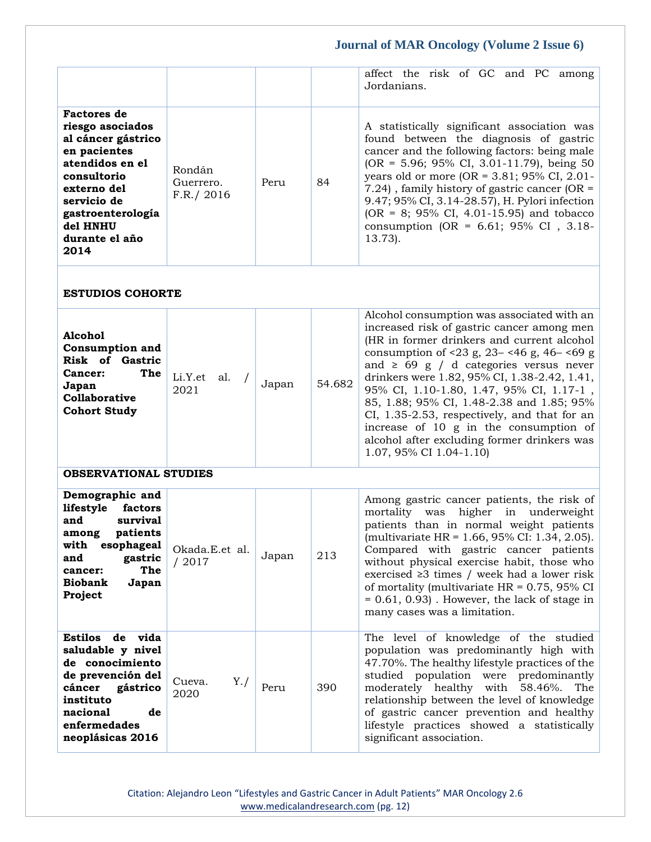|                                                                                                                                                                                                         |                                   |       |        | affect the risk of GC and PC among<br>Jordanians.                                                                                                                                                                                                                                                                                                                                                                                                                                                                                                |
|---------------------------------------------------------------------------------------------------------------------------------------------------------------------------------------------------------|-----------------------------------|-------|--------|--------------------------------------------------------------------------------------------------------------------------------------------------------------------------------------------------------------------------------------------------------------------------------------------------------------------------------------------------------------------------------------------------------------------------------------------------------------------------------------------------------------------------------------------------|
| <b>Factores</b> de<br>riesgo asociados<br>al cáncer gástrico<br>en pacientes<br>atendidos en el<br>consultorio<br>externo del<br>servicio de<br>gastroenterología<br>del HNHU<br>durante el año<br>2014 | Rondán<br>Guerrero.<br>F.R./ 2016 | Peru  | 84     | A statistically significant association was<br>found between the diagnosis of gastric<br>cancer and the following factors: being male<br>(OR = 5.96; 95% CI, 3.01-11.79), being 50<br>years old or more (OR = $3.81;95\%$ CI, 2.01-<br>7.24), family history of gastric cancer (OR $=$<br>9.47; 95% CI, 3.14-28.57), H. Pylori infection<br>(OR = 8; 95% CI, 4.01-15.95) and tobacco<br>consumption (OR = $6.61; 95\%$ CI, 3.18-<br>$13.73$ ).                                                                                                   |
| <b>ESTUDIOS COHORTE</b>                                                                                                                                                                                 |                                   |       |        |                                                                                                                                                                                                                                                                                                                                                                                                                                                                                                                                                  |
| <b>Alcohol</b><br><b>Consumption and</b><br><b>Risk of Gastric</b><br>The<br>Cancer:<br>Japan<br>Collaborative<br><b>Cohort Study</b>                                                                   | Li.Y.et<br>al.<br>2021            | Japan | 54.682 | Alcohol consumption was associated with an<br>increased risk of gastric cancer among men<br>(HR in former drinkers and current alcohol<br>consumption of <23 g, 23– <46 g, 46– <69 g<br>and $\geq 69$ g / d categories versus never<br>drinkers were 1.82, 95% CI, 1.38-2.42, 1.41,<br>95% CI, 1.10-1.80, 1.47, 95% CI, 1.17-1,<br>85, 1.88; 95% CI, 1.48-2.38 and 1.85; 95%<br>CI, 1.35-2.53, respectively, and that for an<br>increase of 10 g in the consumption of<br>alcohol after excluding former drinkers was<br>1.07, 95% CI 1.04-1.10) |
| <b>OBSERVATIONAL STUDIES</b>                                                                                                                                                                            |                                   |       |        |                                                                                                                                                                                                                                                                                                                                                                                                                                                                                                                                                  |
| Demographic and<br>lifestyle<br>factors<br>and<br>survival<br>patients<br>among<br>with esophageal<br>and<br>gastric<br>The<br>cancer:<br><b>Biobank</b><br>Japan<br>Project                            | Okada.E.et al.<br>/2017           | Japan | 213    | Among gastric cancer patients, the risk of<br>mortality was<br>higher in underweight<br>patients than in normal weight patients<br>(multivariate HR = 1.66, 95% CI: 1.34, 2.05).<br>Compared with gastric cancer patients<br>without physical exercise habit, those who<br>exercised $\geq$ 3 times / week had a lower risk<br>of mortality (multivariate HR = $0.75$ , 95% CI<br>$= 0.61, 0.93$ . However, the lack of stage in<br>many cases was a limitation.                                                                                 |
| Estilos de vida<br>saludable y nivel<br>de conocimiento<br>de prevención del<br>cáncer<br>gástrico<br>instituto<br>nacional<br>de<br>enfermedades<br>neoplásicas 2016                                   | Y./<br>Cueva.<br>2020             | Peru  | 390    | The level of knowledge of the studied<br>population was predominantly high with<br>47.70%. The healthy lifestyle practices of the<br>studied population were predominantly<br>moderately healthy with 58.46%. The<br>relationship between the level of knowledge<br>of gastric cancer prevention and healthy<br>lifestyle practices showed a statistically<br>significant association.                                                                                                                                                           |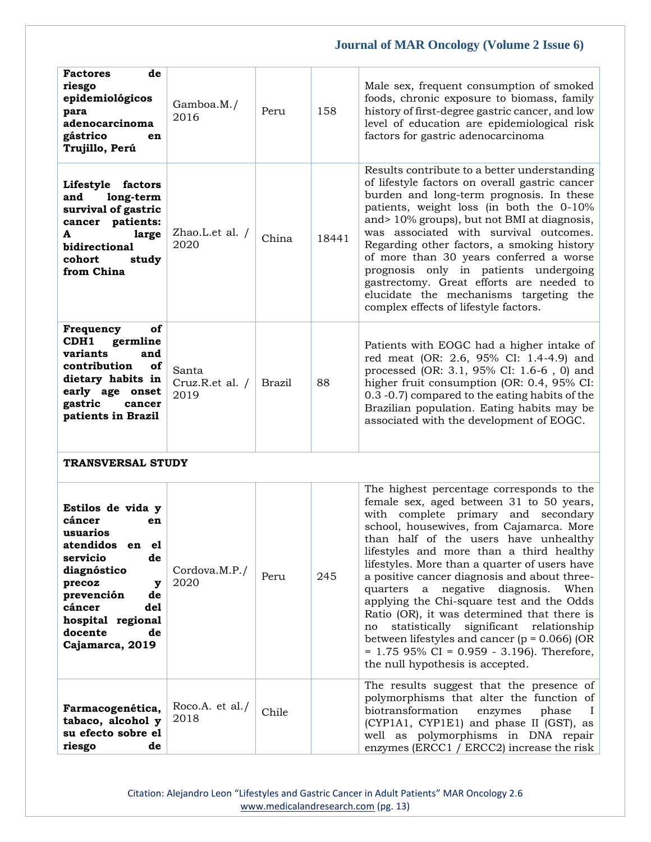| <b>Factores</b><br>de<br>riesgo<br>epidemiológicos<br>para<br>adenocarcinoma<br>gástrico<br>en<br>Trujillo, Perú                                                                                                  | Gamboa.M./<br>2016               | Peru   | 158   | Male sex, frequent consumption of smoked<br>foods, chronic exposure to biomass, family<br>history of first-degree gastric cancer, and low<br>level of education are epidemiological risk<br>factors for gastric adenocarcinoma                                                                                                                                                                                                                                                                                                                                                                                                                                                                   |
|-------------------------------------------------------------------------------------------------------------------------------------------------------------------------------------------------------------------|----------------------------------|--------|-------|--------------------------------------------------------------------------------------------------------------------------------------------------------------------------------------------------------------------------------------------------------------------------------------------------------------------------------------------------------------------------------------------------------------------------------------------------------------------------------------------------------------------------------------------------------------------------------------------------------------------------------------------------------------------------------------------------|
| Lifestyle factors<br>long-term<br>and<br>survival of gastric<br>cancer patients:<br>large<br>A<br>bidirectional<br>cohort<br>study<br>from China                                                                  | Zhao.L.et al. /<br>2020          | China  | 18441 | Results contribute to a better understanding<br>of lifestyle factors on overall gastric cancer<br>burden and long-term prognosis. In these<br>patients, weight loss (in both the 0-10%<br>and> 10% groups), but not BMI at diagnosis,<br>was associated with survival outcomes.<br>Regarding other factors, a smoking history<br>of more than 30 years conferred a worse<br>prognosis only in patients undergoing<br>gastrectomy. Great efforts are needed to<br>elucidate the mechanisms targeting the<br>complex effects of lifestyle factors.                                                                                                                                                 |
| of<br>Frequency<br>CDH1<br>germline<br>variants<br>and<br>of<br>contribution<br>dietary habits in<br>early age onset<br>gastric<br>cancer<br>patients in Brazil                                                   | Santa<br>Cruz.R.et al. /<br>2019 | Brazil | 88    | Patients with EOGC had a higher intake of<br>red meat (OR: 2.6, 95% CI: 1.4-4.9) and<br>processed (OR: 3.1, 95% CI: 1.6-6, 0) and<br>higher fruit consumption (OR: 0.4, 95% CI:<br>0.3 -0.7) compared to the eating habits of the<br>Brazilian population. Eating habits may be<br>associated with the development of EOGC.                                                                                                                                                                                                                                                                                                                                                                      |
| <b>TRANSVERSAL STUDY</b>                                                                                                                                                                                          |                                  |        |       |                                                                                                                                                                                                                                                                                                                                                                                                                                                                                                                                                                                                                                                                                                  |
| Estilos de vida y<br>cáncer<br>en<br>usuarios<br>atendidos en<br>e1<br>servicio<br>de<br>diagnóstico<br>precoz<br>у<br>prevención<br>de<br>cáncer<br>del<br>hospital regional<br>docente<br>de<br>Cajamarca, 2019 | Cordova.M.P./<br>2020            | Peru   | 245   | The highest percentage corresponds to the<br>female sex, aged between 31 to 50 years,<br>with complete primary and secondary<br>school, housewives, from Cajamarca. More<br>than half of the users have unhealthy<br>lifestyles and more than a third healthy<br>lifestyles. More than a quarter of users have<br>a positive cancer diagnosis and about three-<br>quarters a<br>negative diagnosis. When<br>applying the Chi-square test and the Odds<br>Ratio (OR), it was determined that there is<br>significant relationship<br>statistically<br>no<br>between lifestyles and cancer ( $p = 0.066$ ) (OR<br>$= 1.75$ 95% CI = 0.959 - 3.196). Therefore,<br>the null hypothesis is accepted. |
| Farmacogenética,<br>tabaco, alcohol y<br>su efecto sobre el<br>riesgo<br>de                                                                                                                                       | Roco.A. et al./<br>2018          | Chile  |       | The results suggest that the presence of<br>polymorphisms that alter the function of<br>biotransformation<br>enzymes<br>phase<br>Т.<br>(CYP1A1, CYP1E1) and phase II (GST), as<br>well as polymorphisms in DNA repair<br>enzymes (ERCC1 / ERCC2) increase the risk                                                                                                                                                                                                                                                                                                                                                                                                                               |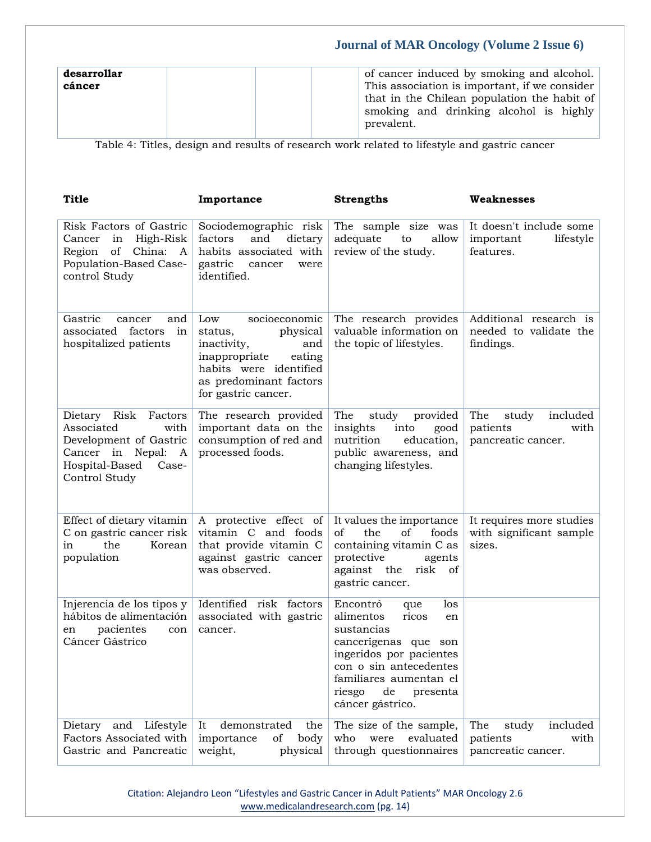| desarrollar<br>cáncer | of cancer induced by smoking and alcohol.<br>This association is important, if we consider<br>that in the Chilean population the habit of<br>smoking and drinking alcohol is highly |
|-----------------------|-------------------------------------------------------------------------------------------------------------------------------------------------------------------------------------|
|                       | prevalent.                                                                                                                                                                          |

Table 4: Titles, design and results of research work related to lifestyle and gastric cancer

| Title                                                                                                                                        | Importance                                                                                                                                                              | <b>Strengths</b>                                                                                                                                                                                                        | <b>Weaknesses</b>                                                  |
|----------------------------------------------------------------------------------------------------------------------------------------------|-------------------------------------------------------------------------------------------------------------------------------------------------------------------------|-------------------------------------------------------------------------------------------------------------------------------------------------------------------------------------------------------------------------|--------------------------------------------------------------------|
| Risk Factors of Gastric<br>High-Risk<br>Cancer<br>in<br>of China: A<br>Region<br>Population-Based Case-<br>control Study                     | Sociodemographic risk<br>factors<br>and<br>dietary<br>habits associated with<br>gastric<br>cancer<br>were<br>identified.                                                | The sample size was<br>adequate<br>allow<br>to<br>review of the study.                                                                                                                                                  | It doesn't include some<br>important<br>lifestyle<br>features.     |
| Gastric<br>cancer<br>and<br>associated factors<br>in<br>hospitalized patients                                                                | Low<br>socioeconomic<br>physical<br>status,<br>inactivity,<br>and<br>inappropriate<br>eating<br>habits were identified<br>as predominant factors<br>for gastric cancer. | The research provides<br>valuable information on<br>the topic of lifestyles.                                                                                                                                            | Additional research is<br>needed to validate the<br>findings.      |
| Risk<br>Factors<br>Dietary<br>Associated<br>with<br>Development of Gastric<br>Cancer in Nepal: A<br>Hospital-Based<br>Case-<br>Control Study | The research provided<br>important data on the<br>consumption of red and<br>processed foods.                                                                            | The<br>study<br>provided<br>insights<br>into<br>good<br>nutrition<br>education,<br>public awareness, and<br>changing lifestyles.                                                                                        | The<br>included<br>study<br>patients<br>with<br>pancreatic cancer. |
| Effect of dietary vitamin<br>C on gastric cancer risk<br>the<br>Korean<br>in<br>population                                                   | A protective effect of<br>vitamin C and foods<br>that provide vitamin C<br>against gastric cancer<br>was observed.                                                      | It values the importance<br>of<br>the<br>of<br>foods<br>containing vitamin C as<br>protective<br>agents<br>against the<br>risk<br>of<br>gastric cancer.                                                                 | It requires more studies<br>with significant sample<br>sizes.      |
| Injerencia de los tipos y<br>hábitos de alimentación<br>pacientes<br>en<br>con<br>Cáncer Gástrico                                            | Identified risk factors<br>associated with gastric<br>cancer.                                                                                                           | Encontró<br>los<br>que<br>alimentos<br>ricos<br>en<br>sustancias<br>cancerígenas que son<br>ingeridos por pacientes<br>con o sin antecedentes<br>familiares aumentan el<br>riesgo<br>de<br>presenta<br>cáncer gástrico. |                                                                    |
| Dietary<br>and Lifestyle<br>Factors Associated with<br>Gastric and Pancreatic                                                                | It<br>demonstrated<br>the<br>importance<br>of<br>body<br>weight,<br>physical                                                                                            | The size of the sample,<br>who<br>were<br>evaluated<br>through questionnaires                                                                                                                                           | The<br>included<br>study<br>patients<br>with<br>pancreatic cancer. |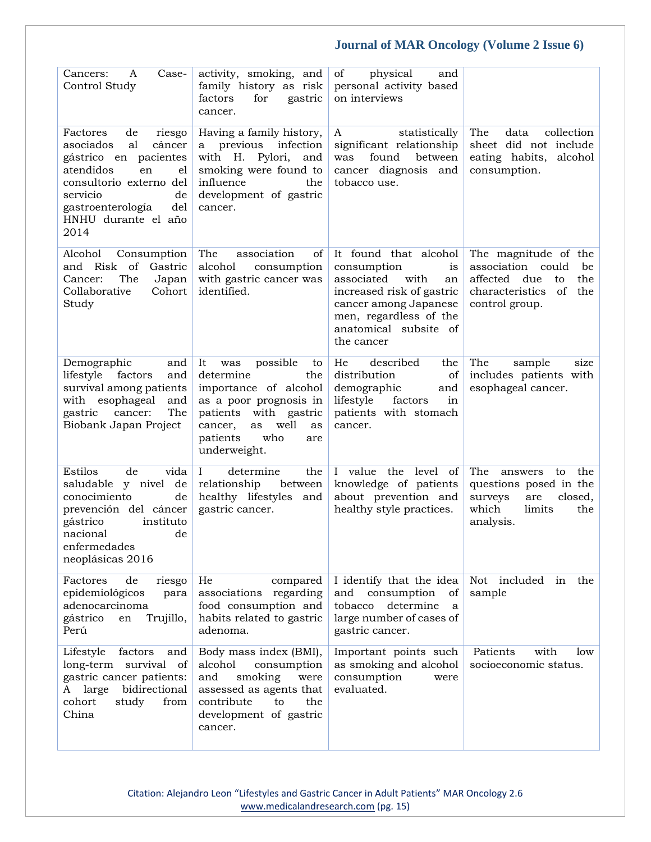| Case-<br>Cancers:<br>A<br>Control Study                                                                                                                                                                         | activity, smoking, and<br>family history as risk<br>factors<br>for<br>gastric<br>cancer.                                                                                                                | of<br>physical<br>and<br>personal activity based<br>on interviews                                                                                                                                        |                                                                                                                                      |
|-----------------------------------------------------------------------------------------------------------------------------------------------------------------------------------------------------------------|---------------------------------------------------------------------------------------------------------------------------------------------------------------------------------------------------------|----------------------------------------------------------------------------------------------------------------------------------------------------------------------------------------------------------|--------------------------------------------------------------------------------------------------------------------------------------|
| Factores<br>de<br>riesgo<br>al<br>asociados<br>cáncer<br>gástrico en pacientes<br>atendidos<br>en<br>el<br>consultorio externo del<br>servicio<br>de<br>gastroenterología<br>del<br>HNHU durante el año<br>2014 | Having a family history,<br>a previous infection<br>with H. Pylori,<br>and<br>smoking were found to<br>influence<br>the<br>development of gastric<br>cancer.                                            | A<br>statistically<br>significant relationship<br>between<br>found<br>was<br>cancer diagnosis and<br>tobacco use.                                                                                        | The<br>data<br>collection<br>sheet did not include<br>eating habits,<br>alcohol<br>consumption.                                      |
| Alcohol<br>Consumption<br>and Risk of<br>Gastric<br>Cancer:<br>The<br>Japan<br>Collaborative<br>Cohort<br>Study                                                                                                 | association<br>The<br>of<br>alcohol<br>consumption<br>with gastric cancer was<br>identified.                                                                                                            | It found that alcohol<br>consumption<br><sub>1s</sub><br>associated<br>with<br>an<br>increased risk of gastric<br>cancer among Japanese<br>men, regardless of the<br>anatomical subsite of<br>the cancer | The magnitude of the<br>association<br>could<br>be<br>affected<br>due<br>the<br>to<br>characteristics<br>of<br>the<br>control group. |
| Demographic<br>and<br>lifestyle<br>factors<br>and<br>survival among patients<br>with esophageal<br>and<br>The<br>gastric<br>cancer:<br>Biobank Japan Project                                                    | It<br>possible<br>was<br>to<br>determine<br>the<br>importance of alcohol<br>as a poor prognosis in<br>with gastric<br>patients<br>well<br>cancer,<br>as<br>as<br>who<br>patients<br>are<br>underweight. | He<br>described<br>the<br>distribution<br>of<br>demographic<br>and<br>lifestyle<br>in<br>factors<br>patients with stomach<br>cancer.                                                                     | The<br>sample<br>size<br>includes patients with<br>esophageal cancer.                                                                |
| Estilos<br>de<br>vida<br>y nivel de<br>saludable<br>conocimiento<br>de<br>prevención del cáncer<br>gástrico<br>instituto<br>nacional<br>de<br>enfermedades<br>neoplásicas 2016                                  | $\mathbf{I}$<br>determine<br>the<br>relationship<br>between<br>healthy lifestyles<br>and<br>gastric cancer.                                                                                             | I value the level<br>of<br>knowledge of patients<br>about prevention and<br>healthy style practices.                                                                                                     | The<br>the<br>answers<br>to<br>questions posed in the<br>closed,<br>surveys<br>are<br>which<br>limits<br>the<br>analysis.            |
| Factores<br>de<br>riesgo<br>epidemiológicos<br>para<br>adenocarcinoma<br>gástrico<br>Trujillo,<br>en<br>Perú                                                                                                    | He<br>compared<br>associations<br>regarding<br>food consumption and<br>habits related to gastric<br>adenoma.                                                                                            | I identify that the idea<br>and<br>consumption<br>οf<br>tobacco<br>determine<br>a<br>large number of cases of<br>gastric cancer.                                                                         | Not<br>included in<br>the<br>sample                                                                                                  |
| Lifestyle<br>factors<br>and<br>long-term survival<br>οf<br>gastric cancer patients:<br>large<br>bidirectional<br>A<br>cohort<br>study<br>from<br>China                                                          | Body mass index (BMI),<br>alcohol<br>consumption<br>and<br>smoking<br>were<br>assessed as agents that<br>contribute<br>the<br>to<br>development of gastric<br>cancer.                                   | Important points such<br>as smoking and alcohol<br>consumption<br>were<br>evaluated.                                                                                                                     | Patients<br>with<br>low<br>socioeconomic status.                                                                                     |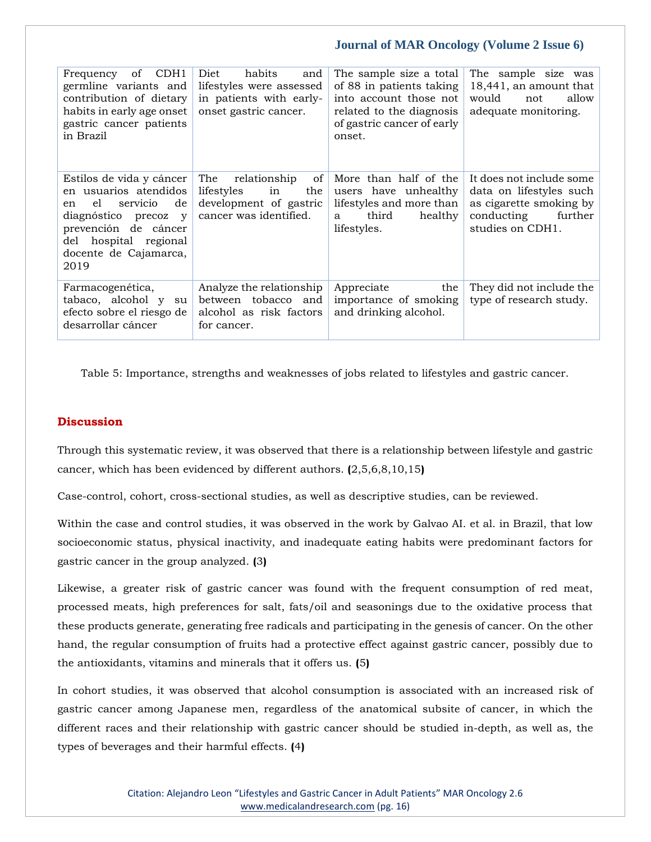| CDH <sub>1</sub><br>of<br>Frequency<br>germline variants and<br>contribution of dietary<br>habits in early age onset<br>gastric cancer patients<br>in Brazil                                 | Diet<br>habits<br>and<br>lifestyles were assessed<br>in patients with early-<br>onset gastric cancer.    | The sample size a total<br>of 88 in patients taking<br>into account those not<br>related to the diagnosis<br>of gastric cancer of early<br>onset. | The sample size was<br>18,441, an amount that<br>would<br>allow<br>not<br>adequate monitoring.                              |
|----------------------------------------------------------------------------------------------------------------------------------------------------------------------------------------------|----------------------------------------------------------------------------------------------------------|---------------------------------------------------------------------------------------------------------------------------------------------------|-----------------------------------------------------------------------------------------------------------------------------|
| Estilos de vida y cáncer<br>en usuarios atendidos<br>de<br>el<br>servicio<br>en<br>diagnóstico precoz y<br>prevención de cáncer<br>hospital regional<br>del<br>docente de Cajamarca,<br>2019 | The<br>relationship<br>of<br>lifestyles<br>in<br>the<br>development of gastric<br>cancer was identified. | More than half of the<br>users have unhealthy<br>lifestyles and more than<br>third<br>healthy<br>a<br>lifestyles.                                 | It does not include some<br>data on lifestyles such<br>as cigarette smoking by<br>conducting<br>further<br>studies on CDH1. |
| Farmacogenética,<br>tabaco, alcohol y<br>su<br>efecto sobre el riesgo de<br>desarrollar cáncer                                                                                               | Analyze the relationship<br>between tobacco and<br>alcohol as risk factors<br>for cancer.                | Appreciate<br>the<br>importance of smoking<br>and drinking alcohol.                                                                               | They did not include the<br>type of research study.                                                                         |

Table 5: Importance, strengths and weaknesses of jobs related to lifestyles and gastric cancer.

### **Discussion**

Through this systematic review, it was observed that there is a relationship between lifestyle and gastric cancer, which has been evidenced by different authors. **(**2,5,6,8,10,15**)**

Case-control, cohort, cross-sectional studies, as well as descriptive studies, can be reviewed.

Within the case and control studies, it was observed in the work by Galvao AI. et al. in Brazil, that low socioeconomic status, physical inactivity, and inadequate eating habits were predominant factors for gastric cancer in the group analyzed. **(**3**)**

Likewise, a greater risk of gastric cancer was found with the frequent consumption of red meat, processed meats, high preferences for salt, fats/oil and seasonings due to the oxidative process that these products generate, generating free radicals and participating in the genesis of cancer. On the other hand, the regular consumption of fruits had a protective effect against gastric cancer, possibly due to the antioxidants, vitamins and minerals that it offers us. **(**5**)**

In cohort studies, it was observed that alcohol consumption is associated with an increased risk of gastric cancer among Japanese men, regardless of the anatomical subsite of cancer, in which the different races and their relationship with gastric cancer should be studied in-depth, as well as, the types of beverages and their harmful effects. **(**4**)**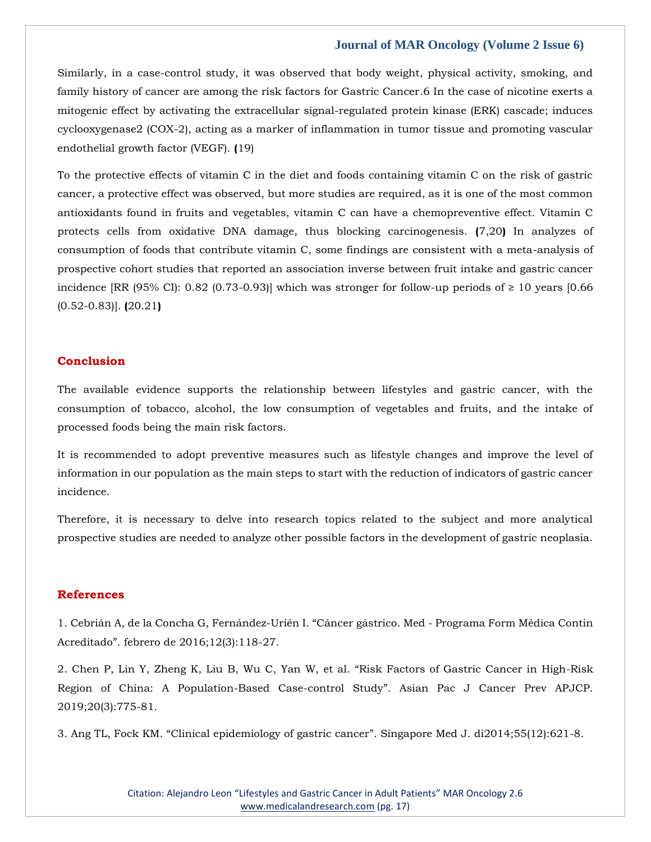Similarly, in a case-control study, it was observed that body weight, physical activity, smoking, and family history of cancer are among the risk factors for Gastric Cancer.6 In the case of nicotine exerts a mitogenic effect by activating the extracellular signal-regulated protein kinase (ERK) cascade; induces cyclooxygenase2 (COX-2), acting as a marker of inflammation in tumor tissue and promoting vascular endothelial growth factor (VEGF). **(**19)

To the protective effects of vitamin C in the diet and foods containing vitamin C on the risk of gastric cancer, a protective effect was observed, but more studies are required, as it is one of the most common antioxidants found in fruits and vegetables, vitamin C can have a chemopreventive effect. Vitamin C protects cells from oxidative DNA damage, thus blocking carcinogenesis. **(**7,20**)** In analyzes of consumption of foods that contribute vitamin C, some findings are consistent with a meta-analysis of prospective cohort studies that reported an association inverse between fruit intake and gastric cancer incidence [RR (95% CI): 0.82 (0.73-0.93)] which was stronger for follow-up periods of  $\geq 10$  years [0.66 (0.52-0.83)]. **(**20.21**)**

### **Conclusion**

The available evidence supports the relationship between lifestyles and gastric cancer, with the consumption of tobacco, alcohol, the low consumption of vegetables and fruits, and the intake of processed foods being the main risk factors.

It is recommended to adopt preventive measures such as lifestyle changes and improve the level of information in our population as the main steps to start with the reduction of indicators of gastric cancer incidence.

Therefore, it is necessary to delve into research topics related to the subject and more analytical prospective studies are needed to analyze other possible factors in the development of gastric neoplasia.

### **References**

1. [Cebrián A, de la Concha G, Fernández-Urién I.](https://www.google.com/search?q=%E2%80%9CC%C3%A1ncer+g%C3%A1strico.+Med+-+Programa+Form+M%C3%A9dica+Contin+Acreditado&sxsrf=AOaemvKMpj_4I5d4-joVpp1RGJ8C1Wh_ug%3A1637908768882&ei=IIGgYd2mNc3bz7sPhIOmqAQ&ved=0ahUKEwjdtt_StbX0AhXN7XMBHYSBCUUQ4dUDCA4&uact=5&oq=%E2%80%9CC%C3%A1ncer+g%C3%A1strico.+Med+-+Programa+Form+M%C3%A9dica+Contin+Acreditado&gs_lcp=Cgdnd3Mtd2l6EAMyBwgjEOoCECcyBwgjEOoCECcyBwgjEOoCECcyBwgjEOoCECcyBwgjEOoCECcyBwgjEOoCECcyBwgjEOoCECcyBwgjEOoCECcyBwgjEOoCECcyBwgjEOoCECdKBAhBGABQ9QRY9QRgiAdoAXAAeACAAQCIAQCSAQCYAQCgAQGgAQKwAQrAAQE&sclient=gws-wiz) "Cáncer gástrico. Med - Programa Form Médica Contin Acreditado"[. febrero de 2016;12\(3\):118-27.](https://www.google.com/search?q=%E2%80%9CC%C3%A1ncer+g%C3%A1strico.+Med+-+Programa+Form+M%C3%A9dica+Contin+Acreditado&sxsrf=AOaemvKMpj_4I5d4-joVpp1RGJ8C1Wh_ug%3A1637908768882&ei=IIGgYd2mNc3bz7sPhIOmqAQ&ved=0ahUKEwjdtt_StbX0AhXN7XMBHYSBCUUQ4dUDCA4&uact=5&oq=%E2%80%9CC%C3%A1ncer+g%C3%A1strico.+Med+-+Programa+Form+M%C3%A9dica+Contin+Acreditado&gs_lcp=Cgdnd3Mtd2l6EAMyBwgjEOoCECcyBwgjEOoCECcyBwgjEOoCECcyBwgjEOoCECcyBwgjEOoCECcyBwgjEOoCECcyBwgjEOoCECcyBwgjEOoCECcyBwgjEOoCECcyBwgjEOoCECdKBAhBGABQ9QRY9QRgiAdoAXAAeACAAQCIAQCSAQCYAQCgAQGgAQKwAQrAAQE&sclient=gws-wiz)

2. [Chen P, Lin Y, Zheng K, Liu B, Wu C, Yan W, et al.](https://www.google.com/search?q=Risk+Factors+of+Gastric+Cancer+in+High-Risk+Region+of+China%3A+A+Population-Based+Case-control+Study&sxsrf=AOaemvKUCxmjG6xc9Z6V5QB9w4pR1zFSoA%3A1637908751020&ei=D4GgYbdYwdfPuw-6wpnQBA&ved=0ahUKEwj3m53KtbX0AhXB63MBHTphBkoQ4dUDCA4&uact=5&oq=Risk+Factors+of+Gastric+Cancer+in+High-Risk+Region+of+China%3A+A+Population-Based+Case-control+Study&gs_lcp=Cgdnd3Mtd2l6EAM6BwgjEOoCECdKBAhBGABQ-QRY-QRgrwdoAXACeACAAeABiAHgAZIBAzItMZgBAKABAaABArABCsABAQ&sclient=gws-wiz) "Risk Factors of Gastric Cancer in High-Risk [Region of China: A Population-Based Case-control Study](https://www.google.com/search?q=Risk+Factors+of+Gastric+Cancer+in+High-Risk+Region+of+China%3A+A+Population-Based+Case-control+Study&sxsrf=AOaemvKUCxmjG6xc9Z6V5QB9w4pR1zFSoA%3A1637908751020&ei=D4GgYbdYwdfPuw-6wpnQBA&ved=0ahUKEwj3m53KtbX0AhXB63MBHTphBkoQ4dUDCA4&uact=5&oq=Risk+Factors+of+Gastric+Cancer+in+High-Risk+Region+of+China%3A+A+Population-Based+Case-control+Study&gs_lcp=Cgdnd3Mtd2l6EAM6BwgjEOoCECdKBAhBGABQ-QRY-QRgrwdoAXACeACAAeABiAHgAZIBAzItMZgBAKABAaABArABCsABAQ&sclient=gws-wiz)". Asian Pac J Cancer Prev APJCP. [2019;20\(3\):775-81.](https://www.google.com/search?q=Risk+Factors+of+Gastric+Cancer+in+High-Risk+Region+of+China%3A+A+Population-Based+Case-control+Study&sxsrf=AOaemvKUCxmjG6xc9Z6V5QB9w4pR1zFSoA%3A1637908751020&ei=D4GgYbdYwdfPuw-6wpnQBA&ved=0ahUKEwj3m53KtbX0AhXB63MBHTphBkoQ4dUDCA4&uact=5&oq=Risk+Factors+of+Gastric+Cancer+in+High-Risk+Region+of+China%3A+A+Population-Based+Case-control+Study&gs_lcp=Cgdnd3Mtd2l6EAM6BwgjEOoCECdKBAhBGABQ-QRY-QRgrwdoAXACeACAAeABiAHgAZIBAzItMZgBAKABAaABArABCsABAQ&sclient=gws-wiz)

3. Ang TL, Fock KM. "Clinical epidemiology of gastric cancer"[. Singapore Med J. di2014;55\(12\):621-8.](https://www.google.com/search?q=Clinical+epidemiology+of+gastric+cancer&sxsrf=AOaemvJQ4kWVWy5dV17eHC795uMEmHnSCw%3A1637908730871&ei=-oCgYZLSNIDgz7sPl8aqwA8&ved=0ahUKEwiSt8_AtbX0AhUA8HMBHRejCvgQ4dUDCA4&uact=5&oq=Clinical+epidemiology+of+gastric+cancer&gs_lcp=Cgdnd3Mtd2l6EAMyCAghEBYQHRAeMggIIRAWEB0QHjIICCEQFhAdEB4yCAghEBYQHRAeMggIIRAWEB0QHjIICCEQFhAdEB46BwgjEOoCECdKBAhBGABQlQNYlQNgqwVoAXAAeACAAfcBiAH3AZIBAzItMZgBAKABAaABArABCsABAQ&sclient=gws-wiz)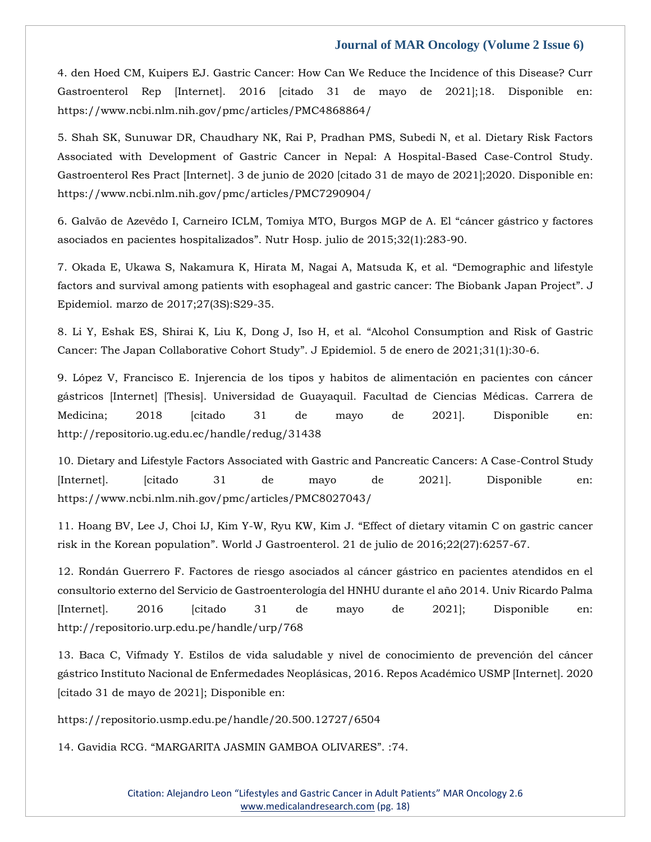4. den Hoed CM, Kuipers EJ. Gastric Cancer: How Can We Reduce the Incidence of this Disease? Curr Gastroenterol Rep [Internet]. 2016 [citado 31 de mayo de 2021];18. Disponible en: https://www.ncbi.nlm.nih.gov/pmc/articles/PMC4868864/

5. Shah SK, Sunuwar DR, Chaudhary NK, Rai P, Pradhan PMS, Subedi N, et al. Dietary Risk Factors Associated with Development of Gastric Cancer in Nepal: A Hospital-Based Case-Control Study. Gastroenterol Res Pract [Internet]. 3 de junio de 2020 [citado 31 de mayo de 2021];2020. Disponible en: https://www.ncbi.nlm.nih.gov/pmc/articles/PMC7290904/

6. [Galvão de Azevêdo I, Carneiro ICLM, Tomiya MTO, Burgos MGP de A. El](https://www.google.com/search?q=c%C3%A1ncer+g%C3%A1strico+y+factores+asociados+en+pacientes+hospitalizados&sxsrf=AOaemvKXFXh1-mkZ14iwJ6VwMUtxaZS61Q%3A1637908715549&ei=64CgYb-JIbDfz7sPiPiP0Ac&ved=0ahUKEwj_qqi5tbX0AhWw73MBHQj8A3oQ4dUDCA4&uact=5&oq=c%C3%A1ncer+g%C3%A1strico+y+factores+asociados+en+pacientes+hospitalizados&gs_lcp=Cgdnd3Mtd2l6EAM6BwgjEOoCECdKBAhBGABQ7gRY7gRguAdoAXAAeACAAdkBiAHZAZIBAzItMZgBAKABAaABArABCsABAQ&sclient=gws-wiz) "cáncer gástrico y factores asociados en pacientes hospitalizados"[. Nutr Hosp. julio de 2015;32\(1\):283-90.](https://www.google.com/search?q=c%C3%A1ncer+g%C3%A1strico+y+factores+asociados+en+pacientes+hospitalizados&sxsrf=AOaemvKXFXh1-mkZ14iwJ6VwMUtxaZS61Q%3A1637908715549&ei=64CgYb-JIbDfz7sPiPiP0Ac&ved=0ahUKEwj_qqi5tbX0AhWw73MBHQj8A3oQ4dUDCA4&uact=5&oq=c%C3%A1ncer+g%C3%A1strico+y+factores+asociados+en+pacientes+hospitalizados&gs_lcp=Cgdnd3Mtd2l6EAM6BwgjEOoCECdKBAhBGABQ7gRY7gRguAdoAXAAeACAAdkBiAHZAZIBAzItMZgBAKABAaABArABCsABAQ&sclient=gws-wiz)

7. [Okada E, Ukawa S, Nakamura K, Hirata M, Nagai A, Matsuda K, et al.](https://www.google.com/search?q=Demographic+and+lifestyle+factors+and+survival+among+patients+with+esophageal+and+gastric+cancer%3A+The+Biobank+Japan+Project&sxsrf=AOaemvKfRrNKyTcFXdAvspOZXVcEoX8c1g%3A1637908698843&ei=2oCgYdbRMofhz7sPhsOVuA0&ved=0ahUKEwjWpqyxtbX0AhWH8HMBHYZhBdcQ4dUDCA4&uact=5&oq=Demographic+and+lifestyle+factors+and+survival+among+patients+with+esophageal+and+gastric+cancer%3A+The+Biobank+Japan+Project&gs_lcp=Cgdnd3Mtd2l6EAMyBwgjEOoCECcyBwgjEOoCECcyBwgjEOoCECcyBwgjEOoCECcyBwgjEOoCECcyBwgjEOoCECcyBwgjEOoCECcyBwgjEOoCECcyBwgjEOoCECcyBwgjEOoCECdKBAhBGABQkAVYkAVgtwdoAXAAeACAAQCIAQCSAQCYAQCgAQGgAQKwAQrAAQE&sclient=gws-wiz) "Demographic and lifestyle [factors and survival among patients with esophageal and gastric cancer: The Biobank](https://www.google.com/search?q=Demographic+and+lifestyle+factors+and+survival+among+patients+with+esophageal+and+gastric+cancer%3A+The+Biobank+Japan+Project&sxsrf=AOaemvKfRrNKyTcFXdAvspOZXVcEoX8c1g%3A1637908698843&ei=2oCgYdbRMofhz7sPhsOVuA0&ved=0ahUKEwjWpqyxtbX0AhWH8HMBHYZhBdcQ4dUDCA4&uact=5&oq=Demographic+and+lifestyle+factors+and+survival+among+patients+with+esophageal+and+gastric+cancer%3A+The+Biobank+Japan+Project&gs_lcp=Cgdnd3Mtd2l6EAMyBwgjEOoCECcyBwgjEOoCECcyBwgjEOoCECcyBwgjEOoCECcyBwgjEOoCECcyBwgjEOoCECcyBwgjEOoCECcyBwgjEOoCECcyBwgjEOoCECcyBwgjEOoCECdKBAhBGABQkAVYkAVgtwdoAXAAeACAAQCIAQCSAQCYAQCgAQGgAQKwAQrAAQE&sclient=gws-wiz) Japan Project". J [Epidemiol. marzo de 2017;27\(3S\):S29-35.](https://www.google.com/search?q=Demographic+and+lifestyle+factors+and+survival+among+patients+with+esophageal+and+gastric+cancer%3A+The+Biobank+Japan+Project&sxsrf=AOaemvKfRrNKyTcFXdAvspOZXVcEoX8c1g%3A1637908698843&ei=2oCgYdbRMofhz7sPhsOVuA0&ved=0ahUKEwjWpqyxtbX0AhWH8HMBHYZhBdcQ4dUDCA4&uact=5&oq=Demographic+and+lifestyle+factors+and+survival+among+patients+with+esophageal+and+gastric+cancer%3A+The+Biobank+Japan+Project&gs_lcp=Cgdnd3Mtd2l6EAMyBwgjEOoCECcyBwgjEOoCECcyBwgjEOoCECcyBwgjEOoCECcyBwgjEOoCECcyBwgjEOoCECcyBwgjEOoCECcyBwgjEOoCECcyBwgjEOoCECcyBwgjEOoCECdKBAhBGABQkAVYkAVgtwdoAXAAeACAAQCIAQCSAQCYAQCgAQGgAQKwAQrAAQE&sclient=gws-wiz)

8. [Li Y, Eshak ES, Shirai K, Liu K, Dong J, Iso H, et al.](https://www.google.com/search?q=Alcohol+Consumption+and+Risk+of+Gastric+Cancer%3A+The+Japan+Collaborative+Cohort+Study&sxsrf=AOaemvKmewXqURproGQ0KhPGJwXbdOnR8Q%3A1637908578541&ei=YoCgYaSxILTcz7sPkdS1OA&ved=0ahUKEwik6v33tLX0AhU07nMBHRFqDQcQ4dUDCA4&uact=5&oq=Alcohol+Consumption+and+Risk+of+Gastric+Cancer%3A+The+Japan+Collaborative+Cohort+Study&gs_lcp=Cgdnd3Mtd2l6EAM6BwgjEOoCECdKBAhBGABQ6AVY6AVgjwhoAXACeACAAe8BiAHvAZIBAzItMZgBAKABAaABArABCsABAQ&sclient=gws-wiz) "Alcohol Consumption and Risk of Gastric [Cancer: The Japan Collaborative Cohort Study](https://www.google.com/search?q=Alcohol+Consumption+and+Risk+of+Gastric+Cancer%3A+The+Japan+Collaborative+Cohort+Study&sxsrf=AOaemvKmewXqURproGQ0KhPGJwXbdOnR8Q%3A1637908578541&ei=YoCgYaSxILTcz7sPkdS1OA&ved=0ahUKEwik6v33tLX0AhU07nMBHRFqDQcQ4dUDCA4&uact=5&oq=Alcohol+Consumption+and+Risk+of+Gastric+Cancer%3A+The+Japan+Collaborative+Cohort+Study&gs_lcp=Cgdnd3Mtd2l6EAM6BwgjEOoCECdKBAhBGABQ6AVY6AVgjwhoAXACeACAAe8BiAHvAZIBAzItMZgBAKABAaABArABCsABAQ&sclient=gws-wiz)". J Epidemiol. 5 de enero de 2021;31(1):30-6.

9. López V, Francisco E. Injerencia de los tipos y habitos de alimentación en pacientes con cáncer gástricos [Internet] [Thesis]. Universidad de Guayaquil. Facultad de Ciencias Médicas. Carrera de Medicina; 2018 [citado 31 de mayo de 2021]. Disponible en: http://repositorio.ug.edu.ec/handle/redug/31438

10. Dietary and Lifestyle Factors Associated with Gastric and Pancreatic Cancers: A Case-Control Study [Internet]. [citado 31 de mayo de 2021]. Disponible en: https://www.ncbi.nlm.nih.gov/pmc/articles/PMC8027043/

11. [Hoang BV, Lee J, Choi IJ, Kim Y-W, Ryu KW, Kim J.](https://www.google.com/search?q=Effect+of+dietary+vitamin+C+on+gastric+cancer+risk+in+the+Korean+population&sxsrf=AOaemvJM4NnXHKI0tn8YKMAgo2ZyW_0yBA%3A1637908654057&ei=roCgYdflApXcz7sPvoClwAI&ved=0ahUKEwjX9P6btbX0AhUV7nMBHT5ACSgQ4dUDCA4&uact=5&oq=Effect+of+dietary+vitamin+C+on+gastric+cancer+risk+in+the+Korean+population&gs_lcp=Cgdnd3Mtd2l6EAMyBAgjECc6BwgjEOoCECdKBAhBGABQkQVYkQVg9QdoAXACeACAAbIBiAGyAZIBAzAuMZgBAKABAaABArABCsABAQ&sclient=gws-wiz) "Effect of dietary vitamin C on gastric cancer risk in the Korean population"[. World J Gastroenterol. 21 de julio de 2016;22\(27\):6257-67.](https://www.google.com/search?q=Effect+of+dietary+vitamin+C+on+gastric+cancer+risk+in+the+Korean+population&sxsrf=AOaemvJM4NnXHKI0tn8YKMAgo2ZyW_0yBA%3A1637908654057&ei=roCgYdflApXcz7sPvoClwAI&ved=0ahUKEwjX9P6btbX0AhUV7nMBHT5ACSgQ4dUDCA4&uact=5&oq=Effect+of+dietary+vitamin+C+on+gastric+cancer+risk+in+the+Korean+population&gs_lcp=Cgdnd3Mtd2l6EAMyBAgjECc6BwgjEOoCECdKBAhBGABQkQVYkQVg9QdoAXACeACAAbIBiAGyAZIBAzAuMZgBAKABAaABArABCsABAQ&sclient=gws-wiz)

12. Rondán Guerrero F. Factores de riesgo asociados al cáncer gástrico en pacientes atendidos en el consultorio externo del Servicio de Gastroenterología del HNHU durante el año 2014. Univ Ricardo Palma [Internet]. 2016 [citado 31 de mayo de 2021]; Disponible en: http://repositorio.urp.edu.pe/handle/urp/768

13. Baca C, Vifmady Y. Estilos de vida saludable y nivel de conocimiento de prevención del cáncer gástrico Instituto Nacional de Enfermedades Neoplásicas, 2016. Repos Académico USMP [Internet]. 2020 [citado 31 de mayo de 2021]; Disponible en:

https://repositorio.usmp.edu.pe/handle/20.500.12727/6504

14. Gavidia RCG. "[MARGARITA JASMIN GAMBOA OLIVARES](https://www.google.com/search?q=MARGARITA+JASMIN+GAMBOA+OLIVARES&sxsrf=AOaemvJybnsUYB2HElUhZRHVPXZ5_gmqMw%3A1637908636667&ei=nICgYeCXKPHiz7sP4pWhyAw&ved=0ahUKEwjg1dmTtbX0AhVx8XMBHeJKCMkQ4dUDCA4&uact=5&oq=MARGARITA+JASMIN+GAMBOA+OLIVARES&gs_lcp=Cgdnd3Mtd2l6EAM6BwgjEOoCECdKBAhBGABQ4QVY4QVgmwhoAXAAeACAAacCiAGnApIBAzItMZgBAKABAaABArABCsABAQ&sclient=gws-wiz)". :74.